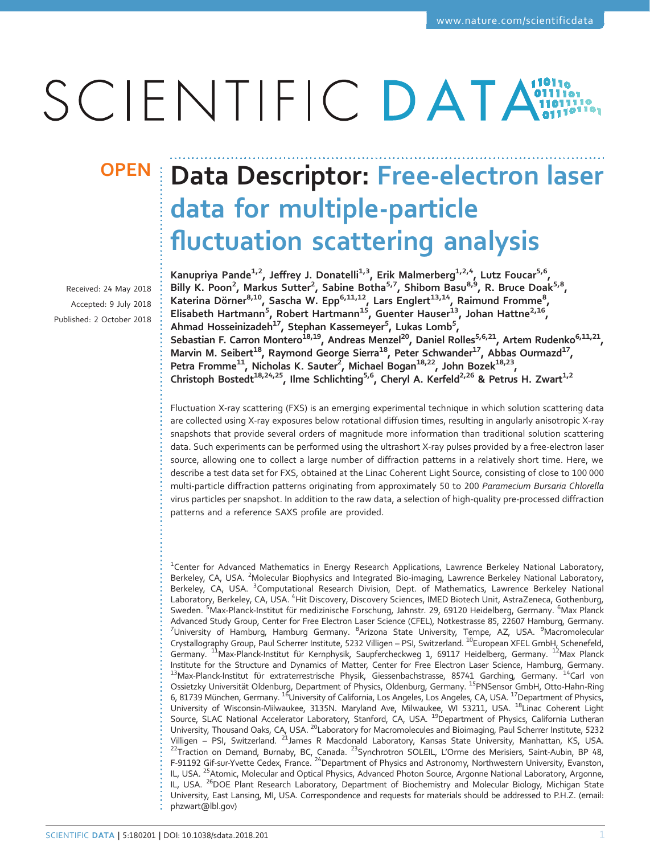# SCIENTIFIC DATA

Received: 24 May 2018 Accepted: 9 July 2018 Published: 2 October 2018

## OPEN | Data Descriptor: Free-electron laser data for multiple-particle fluctuation scattering analysis

Kanupriya Pande<sup>1,2</sup>, Jeffrey J. Donatelli<sup>1,3</sup>, Erik Malmerberg<sup>1,2,4</sup>, Lutz Foucar<sup>5,6</sup>, Billy K. Poon<sup>2</sup>, Markus Sutter<sup>2</sup>, Sabine Botha<sup>5,7</sup>, Shibom Basu<sup>8,9</sup>, R. Bruce Doak<sup>5,8</sup>, Katerina Dörner<sup>8,10</sup>, Sascha W. Epp<sup>6,11,12</sup>, Lars Englert<sup>13,14</sup>, Raimund Fromme<sup>8</sup>, Elisabeth Hartmann<sup>5</sup>, Robert Hartmann<sup>15</sup>, Guenter Hauser<sup>13</sup>, Johan Hattne<sup>2,16</sup>, Ahmad Hosseinizadeh<sup>17</sup>, Stephan Kassemeyer<sup>5</sup>, Lukas Lomb<sup>5</sup>, Sebastian F. Carron Montero<sup>18,19</sup>, Andreas Menzel<sup>20</sup>, Daniel Rolles<sup>5,6,21</sup>, Artem Rudenko<sup>6,11,21</sup>, Marvin M. Seibert<sup>18</sup>, Raymond George Sierra<sup>18</sup>, Peter Schwander<sup>17</sup>, Abbas Ourmazd<sup>17</sup>, Petra Fromme $^{11}$ , Nicholas K. Sauter<sup>2</sup>, Michael Bogan $^{18,22}$ , John Bozek $^{18,23}$ , Christoph Bostedt<sup>18,24,25</sup>, Ilme Schlichting<sup>5,6</sup>, Cheryl A. Kerfeld<sup>2,26</sup> & Petrus H. Zwart<sup>1,2</sup>

Fluctuation X-ray scattering (FXS) is an emerging experimental technique in which solution scattering data are collected using X-ray exposures below rotational diffusion times, resulting in angularly anisotropic X-ray snapshots that provide several orders of magnitude more information than traditional solution scattering data. Such experiments can be performed using the ultrashort X-ray pulses provided by a free-electron laser source, allowing one to collect a large number of diffraction patterns in a relatively short time. Here, we describe a test data set for FXS, obtained at the Linac Coherent Light Source, consisting of close to 100 000 multi-particle diffraction patterns originating from approximately 50 to 200 Paramecium Bursaria Chlorella virus particles per snapshot. In addition to the raw data, a selection of high-quality pre-processed diffraction patterns and a reference SAXS profile are provided.

<sup>1</sup>Center for Advanced Mathematics in Energy Research Applications, Lawrence Berkeley National Laboratory, Berkeley, CA, USA. <sup>2</sup>Molecular Biophysics and Integrated Bio-imaging, Lawrence Berkeley National Laboratory, Berkeley, CA, USA. <sup>3</sup>Computational Research Division, Dept. of Mathematics, Lawrence Berkeley National Laboratory, Berkeley, CA, USA. <sup>4</sup>Hit Discovery, Discovery Sciences, IMED Biotech Unit, AstraZeneca, Gothenburg, Sweden. <sup>5</sup>Max-Planck-Institut für medizinische Forschung, Jahnstr. 29, 69120 Heidelberg, Germany. <sup>6</sup>Max Planck Advanced Study Group, Center for Free Electron Laser Science (CFEL), Notkestrasse <sup>85</sup>, <sup>22607</sup> Hamburg, Germany. <sup>7</sup> University of Hamburg, Hamburg Germany. <sup>8</sup>Arizona State University, Tempe, AZ, USA. <sup>9</sup>Macromolecular Crystallography Group, Paul Scherrer Institute, 5232 Villigen – PSI, Switzerland. <sup>10</sup>European XFEL GmbH, Schenefeld, Germany. <sup>11</sup>Max-Planck-Institut für Kernphysik, Saupfercheckweg 1, 69117 Heidelberg, Germany. <sup>12</sup>Max Planck Institute for the Structure and Dynamics of Matter, Center for Free Electron Laser Science, Hamburg, Germany. 13Max-Planck-Institut für extraterrestrische Physik, Giessenbachstrasse, 85741 Garching, Germany. <sup>14</sup>Carl von Ossietzky Universität Oldenburg, Department of Physics, Oldenburg, Germany. <sup>15</sup>PNSensor GmbH, Otto-Hahn-Ring 6, 81739 München, Germany. <sup>16</sup>University of California, Los Angeles, Los Angeles, CA, USA. <sup>17</sup>Department of Physics, University of Wisconsin-Milwaukee, 3135N. Maryland Ave, Milwaukee, WI 53211, USA. <sup>18</sup>Linac Coherent Light Source, SLAC National Accelerator Laboratory, Stanford, CA, USA. <sup>19</sup>Department of Physics, California Lutheran University, Thousand Oaks, CA, USA. <sup>20</sup>Laboratory for Macromolecules and Bioimaging, Paul Scherrer Institute, 5232<br>Villigen – PSI, Switzerland. <sup>21</sup>James R Macdonald Laboratory, Kansas State University, Manhattan, KS, USA Villigen – PSI, Switzerland. <sup>21</sup>James R Macdonald Laboratory, Kansas State University, Manhattan, KS, USA.<br><sup>22</sup>Traction on Demand, Burnaby, BC, Canada. <sup>23</sup>Synchrotron SOLEIL, L'Orme des Merisiers, Saint-Aubin, BP 48, F-91192 Gif-sur-Yvette Cedex, France. <sup>24</sup>Department of Physics and Astronomy, Northwestern University, Evanston, IL, USA. <sup>25</sup>Atomic, Molecular and Optical Physics, Advanced Photon Source, Argonne National Laboratory, Argonne, IL, USA. <sup>26</sup>DOE Plant Research Laboratory, Department of Biochemistry and Molecular Biology, Michigan State University, East Lansing, MI, USA. Correspondence and requests for materials should be addressed to P.H.Z. (email: [phzwart@lbl.gov\)](mailto:phzwart@lbl.gov)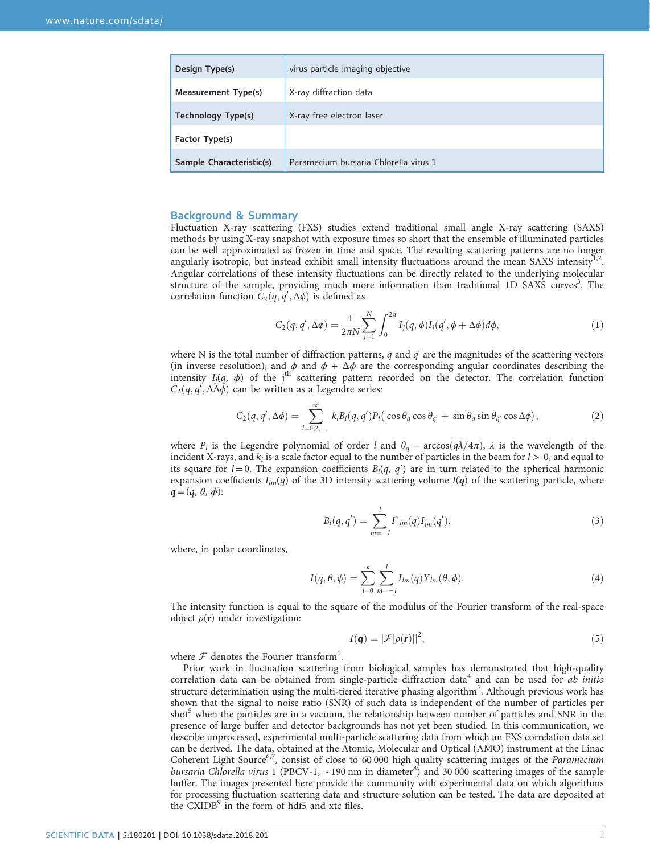| Design Type(s)           | virus particle imaging objective      |
|--------------------------|---------------------------------------|
| Measurement Type(s)      | X-ray diffraction data                |
| Technology Type(s)       | X-ray free electron laser             |
| Factor Type(s)           |                                       |
| Sample Characteristic(s) | Paramecium bursaria Chlorella virus 1 |

#### Background & Summary

Fluctuation X-ray scattering (FXS) studies extend traditional small angle X-ray scattering (SAXS) methods by using X-ray snapshot with exposure times so short that the ensemble of illuminated particles can be well approximated as frozen in time and space. The resulting scattering patterns are no longer angularly isotropic, but instead exhibit small intensity fluctuations around the mean SAXS intensity<sup>[1](#page-5-0),[2](#page-5-0)</sup>. Angular correlations of these intensity fluctuations can be directly related to the underlying molecular structure of the sample, providing much more information than traditional 1D SAXS curves<sup>[3](#page-5-0)</sup>. The correlation function  $C_2(q, q', \Delta\phi)$  is defined as

$$
C_2(q, q', \Delta \phi) = \frac{1}{2\pi N} \sum_{j=1}^N \int_0^{2\pi} I_j(q, \phi) I_j(q', \phi + \Delta \phi) d\phi,
$$
 (1)

where N is the total number of diffraction patterns,  $q$  and  $q'$  are the magnitudes of the scattering vectors (in inverse resolution), and  $\phi$  and  $\phi + \Delta \phi$  are the corresponding angular coordinates describing the intensity  $I_j(q, \phi)$  of the j<sup>th</sup> scattering pattern recorded on the detector. The correlation function  $C_2(q, q', \Delta \Delta \phi)$  can be written as a Legendre series:

$$
C_2(q, q', \Delta\phi) = \sum_{l=0,2,...}^{\infty} k_l B_l(q, q') P_l(\cos\theta_q \cos\theta_{q'} + \sin\theta_q \sin\theta_{q'} \cos\Delta\phi), \qquad (2)
$$

where  $P_l$  is the Legendre polynomial of order l and  $\theta_q = \arccos(q\lambda/4\pi)$ ,  $\lambda$  is the wavelength of the incident X-rays, and  $k_i$  is a scale factor equal to the number of particles in the beam for  $l > 0$ , and equal to its square for  $l=0$ . The expansion coefficients  $B_l(q, q')$  are in turn related to the spherical harmonic expansion coefficients  $I_{lm}(q)$  of the 3D intensity scattering volume  $I(q)$  of the scattering particle, where  $q=(q, \theta, \phi)$ :

$$
B_l(q, q') = \sum_{m=-l}^{l} I^*_{lm}(q) I_{lm}(q'),
$$
\n(3)

where, in polar coordinates,

$$
I(q,\theta,\phi) = \sum_{l=0}^{\infty} \sum_{m=-l}^{l} I_{lm}(q) Y_{lm}(\theta,\phi).
$$
 (4)

The intensity function is equal to the square of the modulus of the Fourier transform of the real-space object  $\rho(r)$  under investigation:

$$
I(\mathbf{q}) = |\mathcal{F}[\rho(\mathbf{r})]|^2,\tag{5}
$$

where  $F$  denotes the Fourier transform<sup>[1](#page-5-0)</sup>.

Prior work in fluctuation scattering from biological samples has demonstrated that high-quality correlation data can be obtained from single-particle diffraction data<sup>[4](#page-5-0)</sup> and can be used for ab initio structure determination using the multi-tiered iterative phasing algorithm<sup>[5](#page-5-0)</sup>. Although previous work has shown that the signal to noise ratio (SNR) of such data is independent of the number of particles per shot<sup>5</sup> when the particles are in a vacuum, the relationship between number of particles and SNR in the presence of large buffer and detector backgrounds has not yet been studied. In this communication, we describe unprocessed, experimental multi-particle scattering data from which an FXS correlation data set can be derived. The data, obtained at the Atomic, Molecular and Optical (AMO) instrument at the Linac Coherent Light Source<sup>[6](#page-5-0),[7](#page-5-0)</sup>, consist of close to 60 000 high quality scattering images of the *Paramecium* bursaria Chlorella virus 1 (PBCV-1, ~190 nm in diameter<sup>[8](#page-5-0)</sup>) and 30 000 scattering images of the sample buffer. The images presented here provide the community with experimental data on which algorithms for processing fluctuation scattering data and structure solution can be tested. The data are deposited at the CXIDB<sup>[9](#page-5-0)</sup> in the form of hdf5 and xtc files.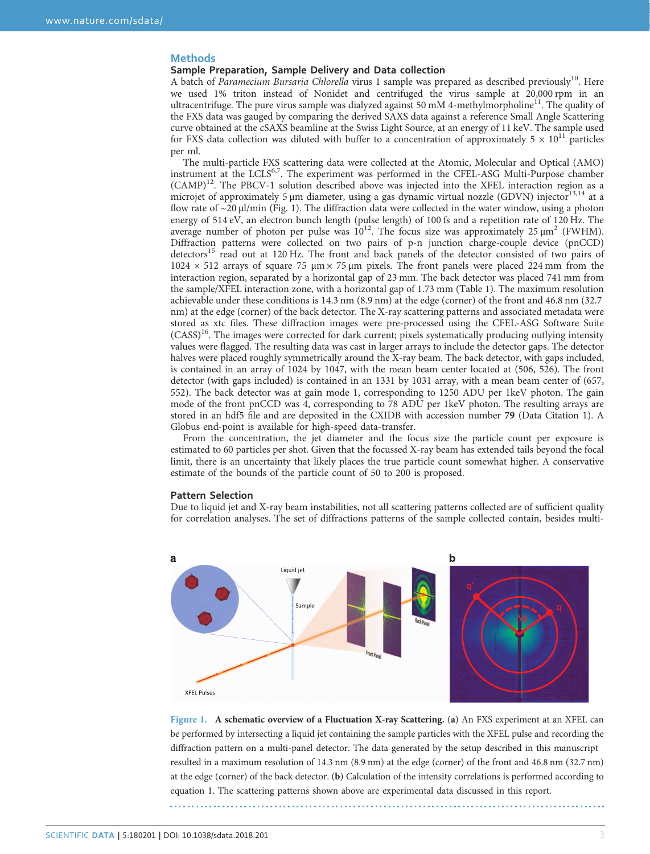#### **Methods**

#### Sample Preparation, Sample Delivery and Data collection

A batch of Paramecium Bursaria Chlorella virus 1 sample was prepared as described previously<sup>10</sup>. Here we used 1% triton instead of Nonidet and centrifuged the virus sample at 20,000 rpm in an ultracentrifuge. The pure virus sample was dialyzed against 50 mM 4-methylmorpholine<sup>[11](#page-5-0)</sup>. The quality of the FXS data was gauged by comparing the derived SAXS data against a reference Small Angle Scattering curve obtained at the cSAXS beamline at the Swiss Light Source, at an energy of 11 keV. The sample used for FXS data collection was diluted with buffer to a concentration of approximately  $5 \times 10^{11}$  particles per ml.

The multi-particle FXS scattering data were collected at the Atomic, Molecular and Optical (AMO) instrument at the LCLS<sup>[6](#page-5-0),[7](#page-5-0)</sup>. The experiment was performed in the CFEL-ASG Multi-Purpose chamber (CAMP)<sup>12</sup>. The PBCV-1 solution described above was injected into the XFEL interaction region as a microjet of approximately 5 μm diameter, using a gas dynamic virtual nozzle (GDVN) injector<sup>[13,14](#page-5-0)</sup> at a flow rate of  $\sim$ 20 μl/min (Fig. 1). The diffraction data were collected in the water window, using a photon energy of 514 eV, an electron bunch length (pulse length) of 100 fs and a repetition rate of 120 Hz. The average number of photon per pulse was  $10^{12}$  $10^{12}$  $10^{12}$ . The focus size was approximately 25  $\mu$ m<sup>2</sup> (FWHM). Diffraction patterns were collected on two pairs of p-n junction charge-couple device (pnCCD) detectors<sup>[15](#page-5-0)</sup> read out at 120 Hz. The front and back panels of the detector consisted of two pairs of  $1024 \times 512$  arrays of square 75  $\mu$ m × 75  $\mu$ m pixels. The front panels were placed 224 mm from the interaction region, separated by a horizontal gap of 23 mm. The back detector was placed 741 mm from the sample/XFEL interaction zone, with a horizontal gap of 1.73 mm [\(Table 1\)](#page-3-0). The maximum resolution achievable under these conditions is 14.3 nm (8.9 nm) at the edge (corner) of the front and 46.8 nm (32.7 nm) at the edge (corner) of the back detector. The X-ray scattering patterns and associated metadata were stored as xtc files. These diffraction images were pre-processed using the CFEL-ASG Software Suite (CASS)[16](#page-5-0). The images were corrected for dark current; pixels systematically producing outlying intensity values were flagged. The resulting data was cast in larger arrays to include the detector gaps. The detector halves were placed roughly symmetrically around the X-ray beam. The back detector, with gaps included, is contained in an array of 1024 by 1047, with the mean beam center located at (506, 526). The front detector (with gaps included) is contained in an 1331 by 1031 array, with a mean beam center of (657, 552). The back detector was at gain mode 1, corresponding to 1250 ADU per 1keV photon. The gain mode of the front pnCCD was 4, corresponding to 78 ADU per 1keV photon. The resulting arrays are stored in an hdf5 file and are deposited in the CXIDB with accession number 79 (Data Citation [1](#page-5-0)). A Globus end-point is available for high-speed data-transfer.

From the concentration, the jet diameter and the focus size the particle count per exposure is estimated to 60 particles per shot. Given that the focussed X-ray beam has extended tails beyond the focal limit, there is an uncertainty that likely places the true particle count somewhat higher. A conservative estimate of the bounds of the particle count of 50 to 200 is proposed.

#### Pattern Selection

Due to liquid jet and X-ray beam instabilities, not all scattering patterns collected are of sufficient quality for correlation analyses. The set of diffractions patterns of the sample collected contain, besides multi-



Figure 1. A schematic overview of a Fluctuation X-ray Scattering. (a) An FXS experiment at an XFEL can be performed by intersecting a liquid jet containing the sample particles with the XFEL pulse and recording the diffraction pattern on a multi-panel detector. The data generated by the setup described in this manuscript resulted in a maximum resolution of 14.3 nm (8.9 nm) at the edge (corner) of the front and 46.8 nm (32.7 nm) at the edge (corner) of the back detector. (b) Calculation of the intensity correlations is performed according to equation 1. The scattering patterns shown above are experimental data discussed in this report.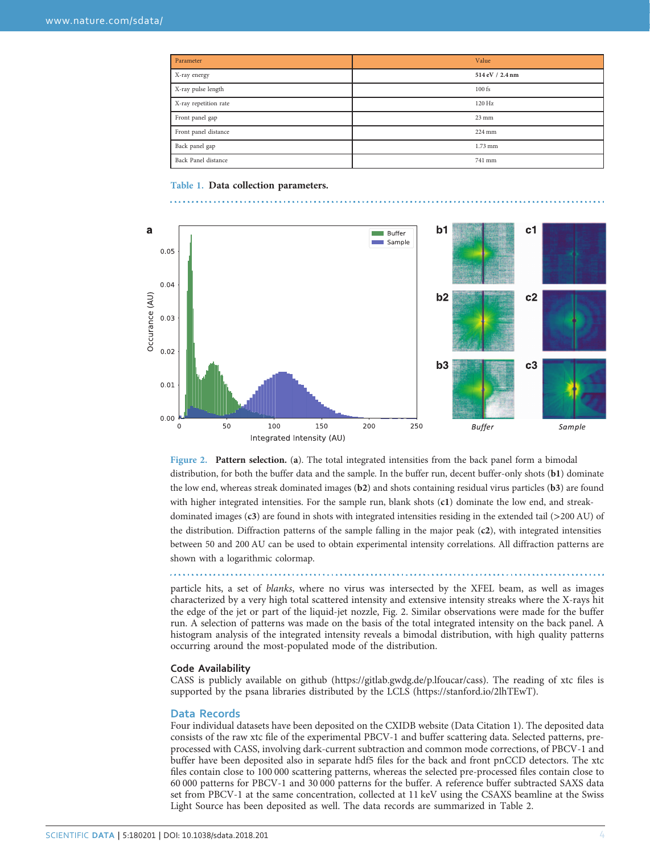<span id="page-3-0"></span>

| Parameter             | Value            |
|-----------------------|------------------|
| X-ray energy          | 514 eV / 2.4 nm  |
| X-ray pulse length    | $100$ fs         |
| X-ray repetition rate | 120 Hz           |
| Front panel gap       | $23 \text{ mm}$  |
| Front panel distance  | $224 \text{ mm}$ |
| Back panel gap        | $1.73$ mm        |
| Back Panel distance   | 741 mm           |

Table 1. Data collection parameters.



Figure 2. Pattern selection. (a). The total integrated intensities from the back panel form a bimodal distribution, for both the buffer data and the sample. In the buffer run, decent buffer-only shots (b1) dominate the low end, whereas streak dominated images (b2) and shots containing residual virus particles (b3) are found with higher integrated intensities. For the sample run, blank shots (c1) dominate the low end, and streakdominated images (c3) are found in shots with integrated intensities residing in the extended tail (>200 AU) of the distribution. Diffraction patterns of the sample falling in the major peak (c2), with integrated intensities between 50 and 200 AU can be used to obtain experimental intensity correlations. All diffraction patterns are shown with a logarithmic colormap.

particle hits, a set of blanks, where no virus was intersected by the XFEL beam, as well as images characterized by a very high total scattered intensity and extensive intensity streaks where the X-rays hit the edge of the jet or part of the liquid-jet nozzle, Fig. 2. Similar observations were made for the buffer run. A selection of patterns was made on the basis of the total integrated intensity on the back panel. A histogram analysis of the integrated intensity reveals a bimodal distribution, with high quality patterns occurring around the most-populated mode of the distribution.

#### Code Availability

CASS is publicly available on github (<https://gitlab.gwdg.de/p.lfoucar/cass>). The reading of xtc files is supported by the psana libraries distributed by the LCLS ([https://stanford.io/2lhTEwT\)](https://gitlab.gwdg.de/p.lfoucar/cass).

#### Data Records

Four individual datasets have been deposited on the CXIDB website (Data Citation [1](#page-5-0)). The deposited data consists of the raw xtc file of the experimental PBCV-1 and buffer scattering data. Selected patterns, preprocessed with CASS, involving dark-current subtraction and common mode corrections, of PBCV-1 and buffer have been deposited also in separate hdf5 files for the back and front pnCCD detectors. The xtc files contain close to 100 000 scattering patterns, whereas the selected pre-processed files contain close to 60 000 patterns for PBCV-1 and 30 000 patterns for the buffer. A reference buffer subtracted SAXS data set from PBCV-1 at the same concentration, collected at 11 keV using the CSAXS beamline at the Swiss Light Source has been deposited as well. The data records are summarized in [Table 2.](#page-4-0)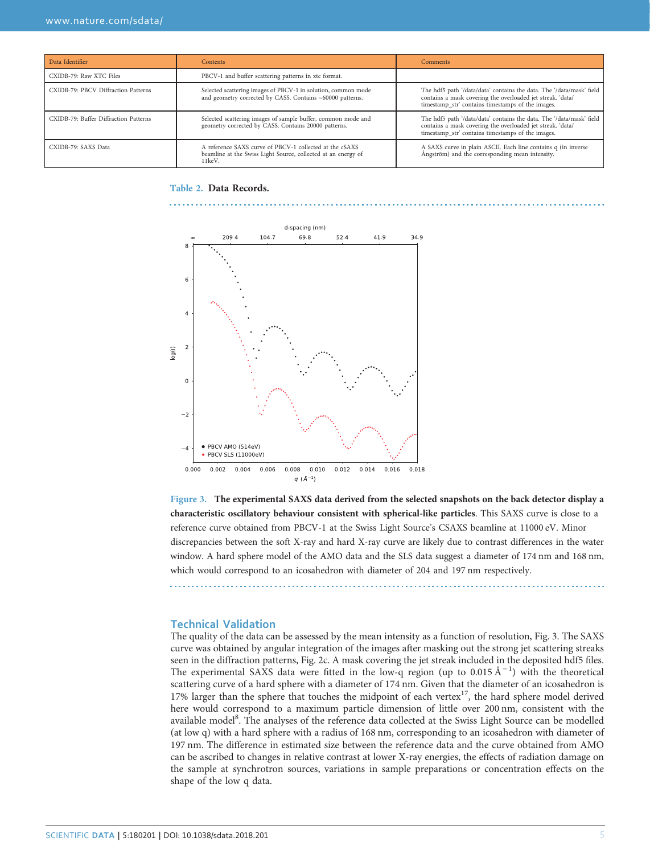<span id="page-4-0"></span>

| Data Identifier                       | <b>Contents</b>                                                                                                                    | <b>Comments</b>                                                                                                                                                                         |
|---------------------------------------|------------------------------------------------------------------------------------------------------------------------------------|-----------------------------------------------------------------------------------------------------------------------------------------------------------------------------------------|
| CXIDB-79: Raw XTC Files               | PBCV-1 and buffer scattering patterns in xtc format.                                                                               |                                                                                                                                                                                         |
| CXIDB-79: PBCV Diffraction Patterns   | Selected scattering images of PBCV-1 in solution, common mode<br>and geometry corrected by CASS. Contains ~60000 patterns.         | The hdf5 path '/data/data' contains the data. The '/data/mask' field<br>contains a mask covering the overloaded jet streak. 'data/<br>timestamp str' contains timestamps of the images. |
| CXIDB-79: Buffer Diffraction Patterns | Selected scattering images of sample buffer, common mode and<br>geometry corrected by CASS. Contains 20000 patterns.               | The hdf5 path '/data/data' contains the data. The '/data/mask' field<br>contains a mask covering the overloaded jet streak. 'data/<br>timestamp str' contains timestamps of the images. |
| CXIDB-79: SAXS Data                   | A reference SAXS curve of PBCV-1 collected at the cSAXS<br>beamline at the Swiss Light Source, collected at an energy of<br>11keV. | A SAXS curve in plain ASCII. Each line contains q (in inverse<br>Ångström) and the corresponding mean intensity.                                                                        |

#### Table 2. Data Records.



Figure 3. The experimental SAXS data derived from the selected snapshots on the back detector display a characteristic oscillatory behaviour consistent with spherical-like particles. This SAXS curve is close to a reference curve obtained from PBCV-1 at the Swiss Light Source's CSAXS beamline at 11000 eV. Minor discrepancies between the soft X-ray and hard X-ray curve are likely due to contrast differences in the water window. A hard sphere model of the AMO data and the SLS data suggest a diameter of 174 nm and 168 nm, which would correspond to an icosahedron with diameter of 204 and 197 nm respectively.

### Technical Validation

The quality of the data can be assessed by the mean intensity as a function of resolution, Fig. 3. The SAXS curve was obtained by angular integration of the images after masking out the strong jet scattering streaks seen in the diffraction patterns, [Fig. 2c](#page-3-0). A mask covering the jet streak included in the deposited hdf5 files. The experimental SAXS data were fitted in the low-q region (up to 0.015 Å<sup>-1</sup>) with the theoretical scattering curve of a hard sphere with a diameter of 174 nm. Given that the diameter of an icosahedron is [17](#page-5-0)% larger than the sphere that touches the midpoint of each vertex<sup>17</sup>, the hard sphere model derived here would correspond to a maximum particle dimension of little over 200 nm, consistent with the available model<sup>8</sup>. The analyses of the reference data collected at the Swiss Light Source can be modelled (at low q) with a hard sphere with a radius of 168 nm, corresponding to an icosahedron with diameter of 197 nm. The difference in estimated size between the reference data and the curve obtained from AMO can be ascribed to changes in relative contrast at lower X-ray energies, the effects of radiation damage on the sample at synchrotron sources, variations in sample preparations or concentration effects on the shape of the low q data.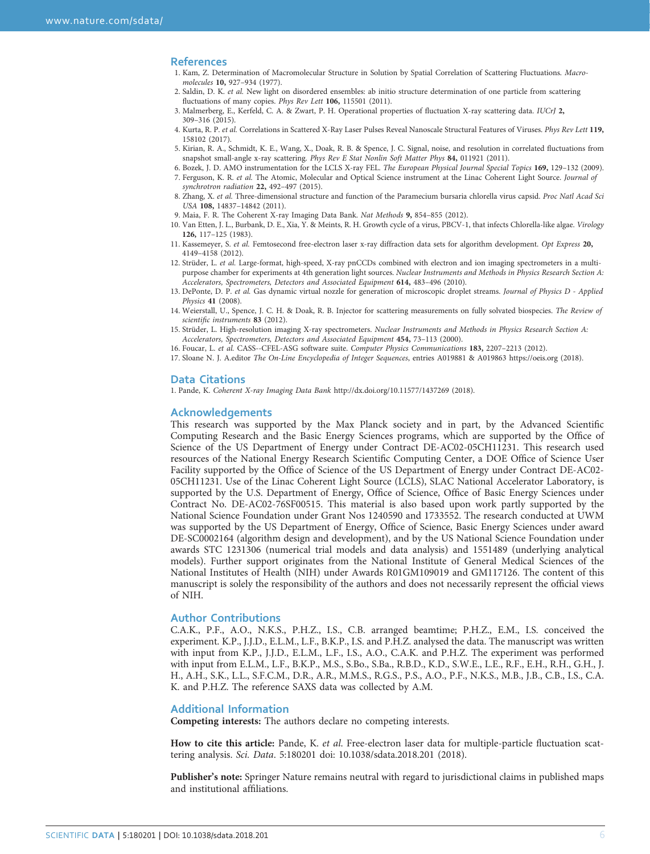#### <span id="page-5-0"></span>References

- 1. Kam, Z. Determination of Macromolecular Structure in Solution by Spatial Correlation of Scattering Fluctuations. Macromolecules 10, 927–934 (1977).
- 2. Saldin, D. K. et al. New light on disordered ensembles: ab initio structure determination of one particle from scattering fluctuations of many copies. Phys Rev Lett 106, 115501 (2011).
- 3. Malmerberg, E., Kerfeld, C. A. & Zwart, P. H. Operational properties of fluctuation X-ray scattering data. IUCrJ 2, 309–316 (2015).
- 4. Kurta, R. P. et al. Correlations in Scattered X-Ray Laser Pulses Reveal Nanoscale Structural Features of Viruses. Phys Rev Lett 119, 158102 (2017).
- 5. Kirian, R. A., Schmidt, K. E., Wang, X., Doak, R. B. & Spence, J. C. Signal, noise, and resolution in correlated fluctuations from snapshot small-angle x-ray scattering. Phys Rev E Stat Nonlin Soft Matter Phys 84, 011921 (2011)
- 6. Bozek, J. D. AMO instrumentation for the LCLS X-ray FEL. The European Physical Journal Special Topics 169, 129–132 (2009). 7. Ferguson, K. R. et al. The Atomic, Molecular and Optical Science instrument at the Linac Coherent Light Source. Journal of
- synchrotron radiation 22, 492–497 (2015). 8. Zhang, X. et al. Three-dimensional structure and function of the Paramecium bursaria chlorella virus capsid. Proc Natl Acad Sci USA 108, 14837–14842 (2011).
- 9. Maia, F. R. The Coherent X-ray Imaging Data Bank. Nat Methods 9, 854–855 (2012).
- 10. Van Etten, J. L., Burbank, D. E., Xia, Y. & Meints, R. H. Growth cycle of a virus, PBCV-1, that infects Chlorella-like algae. Virology 126, 117–125 (1983).
- 11. Kassemeyer, S. et al. Femtosecond free-electron laser x-ray diffraction data sets for algorithm development. Opt Express 20, 4149–4158 (2012).
- 12. Strüder, L. et al. Large-format, high-speed, X-ray pnCCDs combined with electron and ion imaging spectrometers in a multipurpose chamber for experiments at 4th generation light sources. Nuclear Instruments and Methods in Physics Research Section A: Accelerators, Spectrometers, Detectors and Associated Equipment 614, 483–496 (2010).
- 13. DePonte, D. P. et al. Gas dynamic virtual nozzle for generation of microscopic droplet streams. Journal of Physics D Applied Physics 41 (2008).
- 14. Weierstall, U., Spence, J. C. H. & Doak, R. B. Injector for scattering measurements on fully solvated biospecies. The Review of scientific instruments 83 (2012).
- 15. Strüder, L. High-resolution imaging X-ray spectrometers. Nuclear Instruments and Methods in Physics Research Section A: Accelerators, Spectrometers, Detectors and Associated Equipment 454, 73–113 (2000).
- 16. Foucar, L. et al. CASS--CFEL-ASG software suite. Computer Physics Communications 183, 2207–2213 (2012).
- 17. Sloane N. J. A.editor The On-Line Encyclopedia of Integer Sequences, entries A019881 & A019863<https://oeis.org> (2018).

#### Data Citations

1. Pande, K. Coherent X-ray Imaging Data Bank <http://dx.doi.org/10.11577/1437269> (2018).

#### Acknowledgements

This research was supported by the Max Planck society and in part, by the Advanced Scientific Computing Research and the Basic Energy Sciences programs, which are supported by the Office of Science of the US Department of Energy under Contract DE-AC02-05CH11231. This research used resources of the National Energy Research Scientific Computing Center, a DOE Office of Science User Facility supported by the Office of Science of the US Department of Energy under Contract DE-AC02- 05CH11231. Use of the Linac Coherent Light Source (LCLS), SLAC National Accelerator Laboratory, is supported by the U.S. Department of Energy, Office of Science, Office of Basic Energy Sciences under Contract No. DE-AC02-76SF00515. This material is also based upon work partly supported by the National Science Foundation under Grant Nos 1240590 and 1733552. The research conducted at UWM was supported by the US Department of Energy, Office of Science, Basic Energy Sciences under award DE-SC0002164 (algorithm design and development), and by the US National Science Foundation under awards STC 1231306 (numerical trial models and data analysis) and 1551489 (underlying analytical models). Further support originates from the National Institute of General Medical Sciences of the National Institutes of Health (NIH) under Awards R01GM109019 and GM117126. The content of this manuscript is solely the responsibility of the authors and does not necessarily represent the official views of NIH.

#### Author Contributions

C.A.K., P.F., A.O., N.K.S., P.H.Z., I.S., C.B. arranged beamtime; P.H.Z., E.M., I.S. conceived the experiment. K.P., J.J.D., E.L.M., L.F., B.K.P., I.S. and P.H.Z. analysed the data. The manuscript was written with input from K.P., J.J.D., E.L.M., L.F., I.S., A.O., C.A.K. and P.H.Z. The experiment was performed with input from E.L.M., L.F., B.K.P., M.S., S.Bo., S.Ba., R.B.D., K.D., S.W.E., L.E., R.F., E.H., R.H., G.H., J. H., A.H., S.K., L.L., S.F.C.M., D.R., A.R., M.M.S., R.G.S., P.S., A.O., P.F., N.K.S., M.B., J.B., C.B., I.S., C.A. K. and P.H.Z. The reference SAXS data was collected by A.M.

#### Additional Information

Competing interests: The authors declare no competing interests.

How to cite this article: Pande, K. et al. Free-electron laser data for multiple-particle fluctuation scattering analysis. Sci. Data. 5:180201 doi: 10.1038/sdata.2018.201 (2018).

Publisher's note: Springer Nature remains neutral with regard to jurisdictional claims in published maps and institutional affiliations.